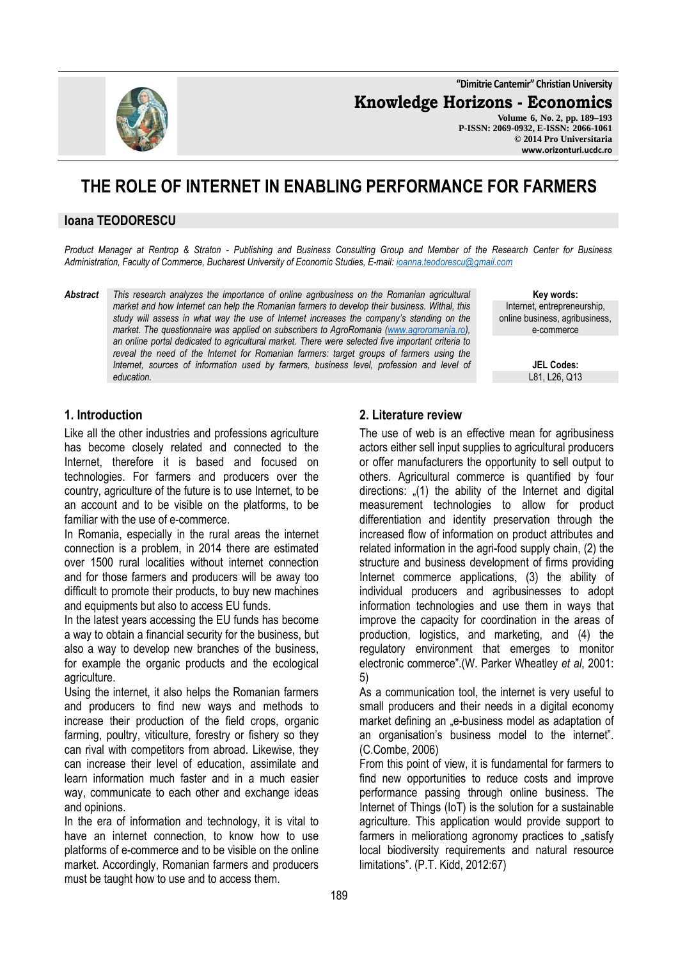**"Dimitrie Cantemir" Christian University**

**Knowledge Horizons - Economics**

**Volume 6, No. 2, pp. 189–193 P-ISSN: 2069-0932, E-ISSN: 2066-1061 © 2014 Pro Universitaria www.orizonturi.ucdc.ro**

# **THE ROLE OF INTERNET IN ENABLING PERFORMANCE FOR FARMERS**

#### **Ioana TEODORESCU**

*Product Manager at Rentrop & Straton - Publishing and Business Consulting Group and Member of the Research Center for Business Administration, Faculty of Commerce, Bucharest University of Economic Studies, E-mail: ioanna.teodorescu@gmail.com*

*Abstract This research analyzes the importance of online agribusiness on the Romanian agricultural market and how Internet can help the Romanian farmers to develop their business. Withal, this study will assess in what way the use of Internet increases the company's standing on the market. The questionnaire was applied on subscribers to AgroRomania (www.agroromania.ro), an online portal dedicated to agricultural market. There were selected five important criteria to reveal the need of the Internet for Romanian farmers: target groups of farmers using the Internet, sources of information used by farmers, business level, profession and level of education.* 

**Key words:** Internet, entrepreneurship, online business, agribusiness, e-commerce

> **JEL Codes:** L81, L26, Q13

# **1. Introduction**

Like all the other industries and professions agriculture has become closely related and connected to the Internet, therefore it is based and focused on technologies. For farmers and producers over the country, agriculture of the future is to use Internet, to be an account and to be visible on the platforms, to be familiar with the use of e-commerce.

In Romania, especially in the rural areas the internet connection is a problem, in 2014 there are estimated over 1500 rural localities without internet connection and for those farmers and producers will be away too difficult to promote their products, to buy new machines and equipments but also to access EU funds.

In the latest years accessing the EU funds has become a way to obtain a financial security for the business, but also a way to develop new branches of the business, for example the organic products and the ecological agriculture.

Using the internet, it also helps the Romanian farmers and producers to find new ways and methods to increase their production of the field crops, organic farming, poultry, viticulture, forestry or fishery so they can rival with competitors from abroad. Likewise, they can increase their level of education, assimilate and learn information much faster and in a much easier way, communicate to each other and exchange ideas and opinions.

In the era of information and technology, it is vital to have an internet connection, to know how to use platforms of e-commerce and to be visible on the online market. Accordingly, Romanian farmers and producers must be taught how to use and to access them.

#### **2. Literature review**

The use of web is an effective mean for agribusiness actors either sell input supplies to agricultural producers or offer manufacturers the opportunity to sell output to others. Agricultural commerce is quantified by four directions: "(1) the ability of the Internet and digital measurement technologies to allow for product differentiation and identity preservation through the increased flow of information on product attributes and related information in the agri-food supply chain, (2) the structure and business development of firms providing Internet commerce applications, (3) the ability of individual producers and agribusinesses to adopt information technologies and use them in ways that improve the capacity for coordination in the areas of production, logistics, and marketing, and (4) the regulatory environment that emerges to monitor electronic commerce".(W. Parker Wheatley *et al*, 2001: 5)

As a communication tool, the internet is very useful to small producers and their needs in a digital economy market defining an "e-business model as adaptation of an organisation's business model to the internet". (C.Combe, 2006)

From this point of view, it is fundamental for farmers to find new opportunities to reduce costs and improve performance passing through online business. The Internet of Things (IoT) is the solution for a sustainable agriculture. This application would provide support to farmers in meliorationg agronomy practices to "satisfy local biodiversity requirements and natural resource limitations". (P.T. Kidd, 2012:67)

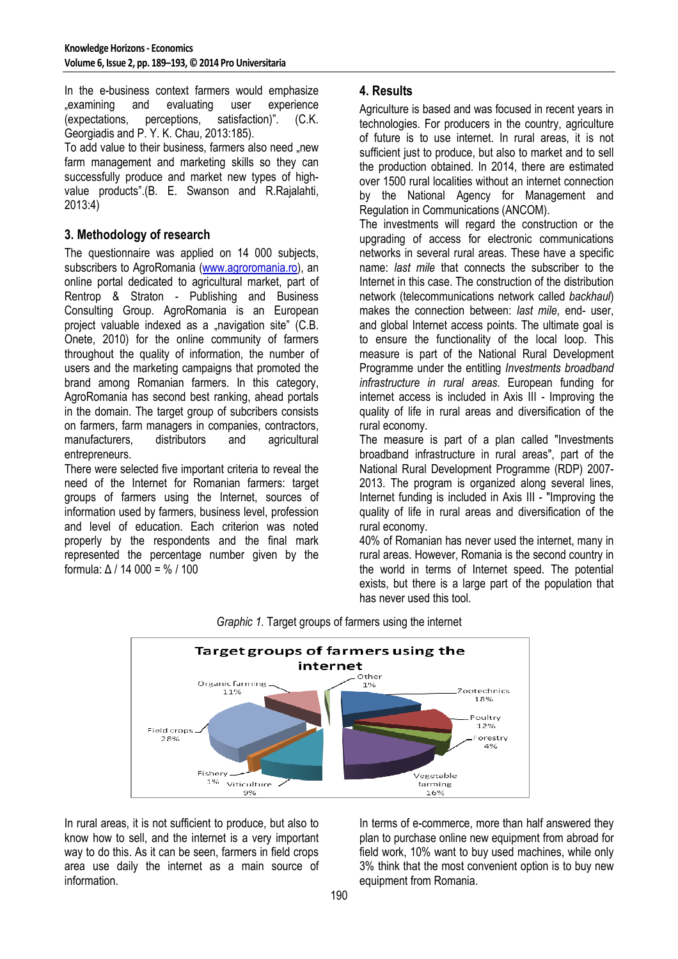In the e-business context farmers would emphasize "examining and evaluating user experience (expectations, perceptions, satisfaction)". (C.K. Georgiadis and P. Y. K. Chau, 2013:185).

To add value to their business, farmers also need "new farm management and marketing skills so they can successfully produce and market new types of highvalue products".(B. E. Swanson and R.Rajalahti, 2013:4)

### **3. Methodology of research**

The questionnaire was applied on 14 000 subjects, subscribers to AgroRomania (www.agroromania.ro), an online portal dedicated to agricultural market, part of Rentrop & Straton - Publishing and Business Consulting Group. AgroRomania is an European project valuable indexed as a "navigation site" (C.B. Onete, 2010) for the online community of farmers throughout the quality of information, the number of users and the marketing campaigns that promoted the brand among Romanian farmers. In this category, AgroRomania has second best ranking, ahead portals in the domain. The target group of subcribers consists on farmers, farm managers in companies, contractors, manufacturers, distributors and agricultural entrepreneurs.

There were selected five important criteria to reveal the need of the Internet for Romanian farmers: target groups of farmers using the Internet, sources of information used by farmers, business level, profession and level of education. Each criterion was noted properly by the respondents and the final mark represented the percentage number given by the formula: ∆ / 14 000 = % / 100

# **4. Results**

Agriculture is based and was focused in recent years in technologies. For producers in the country, agriculture of future is to use internet. In rural areas, it is not sufficient just to produce, but also to market and to sell the production obtained. In 2014, there are estimated over 1500 rural localities without an internet connection by the National Agency for Management and Regulation in Communications (ANCOM).

The investments will regard the construction or the upgrading of access for electronic communications networks in several rural areas. These have a specific name: *last mile* that connects the subscriber to the Internet in this case. The construction of the distribution network (telecommunications network called *backhaul*) makes the connection between: *last mile*, end- user, and global Internet access points. The ultimate goal is to ensure the functionality of the local loop. This measure is part of the National Rural Development Programme under the entitling *Investments broadband infrastructure in rural areas*. European funding for internet access is included in Axis III - Improving the quality of life in rural areas and diversification of the rural economy.

The measure is part of a plan called "Investments broadband infrastructure in rural areas", part of the National Rural Development Programme (RDP) 2007- 2013. The program is organized along several lines. Internet funding is included in Axis III - "Improving the quality of life in rural areas and diversification of the rural economy.

40% of Romanian has never used the internet, many in rural areas. However, Romania is the second country in the world in terms of Internet speed. The potential exists, but there is a large part of the population that has never used this tool.



*Graphic 1.* Target groups of farmers using the internet

In rural areas, it is not sufficient to produce, but also to know how to sell, and the internet is a very important way to do this. As it can be seen, farmers in field crops area use daily the internet as a main source of information.

In terms of e-commerce, more than half answered they plan to purchase online new equipment from abroad for field work, 10% want to buy used machines, while only 3% think that the most convenient option is to buy new equipment from Romania.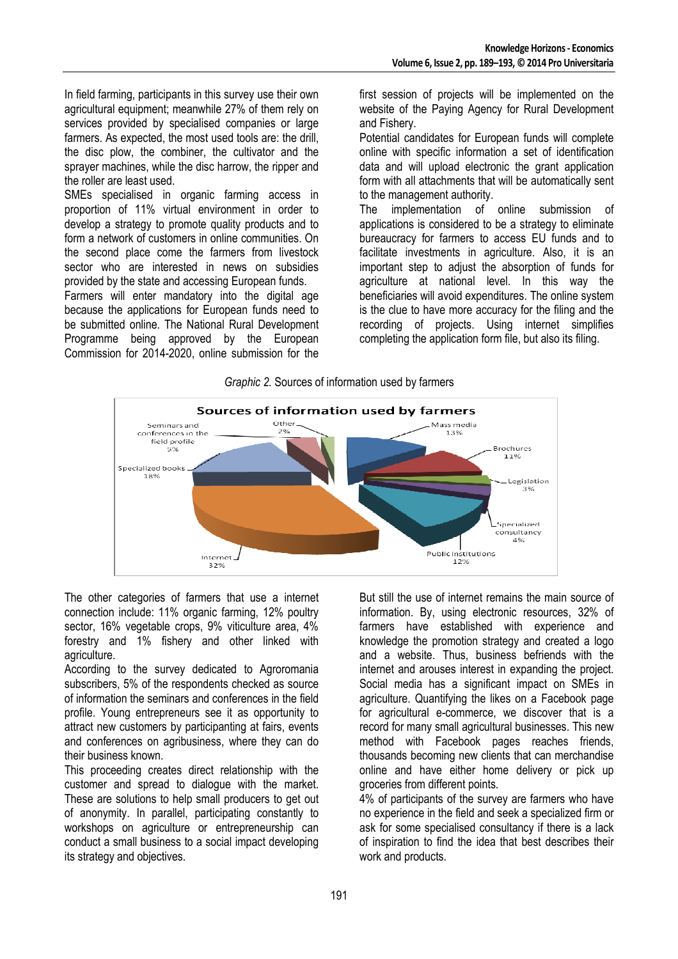In field farming, participants in this survey use their own agricultural equipment; meanwhile 27% of them rely on services provided by specialised companies or large farmers. As expected, the most used tools are: the drill, the disc plow, the combiner, the cultivator and the sprayer machines, while the disc harrow, the ripper and the roller are least used.

SMEs specialised in organic farming access in proportion of 11% virtual environment in order to develop a strategy to promote quality products and to form a network of customers in online communities. On the second place come the farmers from livestock sector who are interested in news on subsidies provided by the state and accessing European funds.

Farmers will enter mandatory into the digital age because the applications for European funds need to be submitted online. The National Rural Development Programme being approved by the European Commission for 2014-2020, online submission for the

first session of projects will be implemented on the website of the Paying Agency for Rural Development and Fishery.

Potential candidates for European funds will complete online with specific information a set of identification data and will upload electronic the grant application form with all attachments that will be automatically sent to the management authority.

The implementation of online submission of applications is considered to be a strategy to eliminate bureaucracy for farmers to access EU funds and to facilitate investments in agriculture. Also, it is an important step to adjust the absorption of funds for agriculture at national level. In this way the beneficiaries will avoid expenditures. The online system is the clue to have more accuracy for the filing and the recording of projects. Using internet simplifies completing the application form file, but also its filing.





The other categories of farmers that use a internet connection include: 11% organic farming, 12% poultry sector, 16% vegetable crops, 9% viticulture area, 4% forestry and 1% fishery and other linked with agriculture.

According to the survey dedicated to Agroromania subscribers, 5% of the respondents checked as source of information the seminars and conferences in the field profile. Young entrepreneurs see it as opportunity to attract new customers by participanting at fairs, events and conferences on agribusiness, where they can do their business known.

This proceeding creates direct relationship with the customer and spread to dialogue with the market. These are solutions to help small producers to get out of anonymity. In parallel, participating constantly to workshops on agriculture or entrepreneurship can conduct a small business to a social impact developing its strategy and objectives.

But still the use of internet remains the main source of information. By, using electronic resources, 32% of farmers have established with experience and knowledge the promotion strategy and created a logo and a website. Thus, business befriends with the internet and arouses interest in expanding the project. Social media has a significant impact on SMEs in agriculture. Quantifying the likes on a Facebook page for agricultural e-commerce, we discover that is a record for many small agricultural businesses. This new method with Facebook pages reaches friends, thousands becoming new clients that can merchandise online and have either home delivery or pick up groceries from different points.

4% of participants of the survey are farmers who have no experience in the field and seek a specialized firm or ask for some specialised consultancy if there is a lack of inspiration to find the idea that best describes their work and products.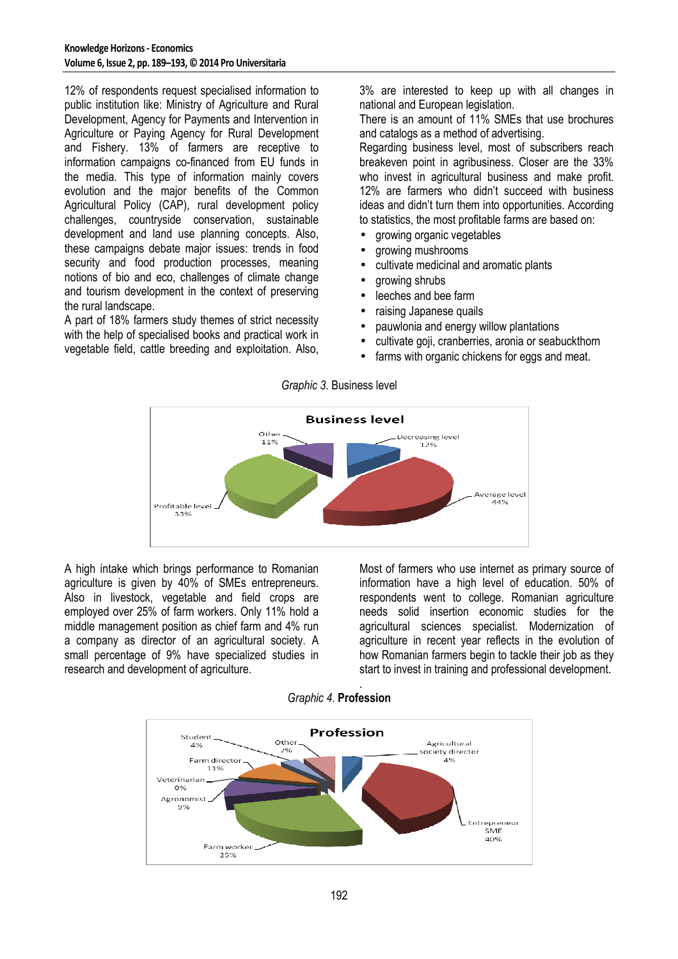12% of respondents request specialised information to public institution like: Ministry of Agriculture and Rural Development, Agency for Payments and Intervention in Agriculture or Paying Agency for Rural Development and Fishery. 13% of farmers are receptive to information campaigns co-financed from EU funds in the media. This type of information mainly covers evolution and the major benefits of the Common Agricultural Policy (CAP), rural development policy challenges, countryside conservation, sustainable development and land use planning concepts. Also, these campaigns debate major issues: trends in food security and food production processes, meaning notions of bio and eco, challenges of climate change and tourism development in the context of preserving the rural landscape.

A part of 18% farmers study themes of strict necessity with the help of specialised books and practical work in vegetable field, cattle breeding and exploitation. Also,

3% are interested to keep up with all changes in national and European legislation.

There is an amount of 11% SMEs that use brochures and catalogs as a method of advertising.

Regarding business level, most of subscribers reach breakeven point in agribusiness. Closer are the 33% who invest in agricultural business and make profit. 12% are farmers who didn't succeed with business ideas and didn't turn them into opportunities. According to statistics, the most profitable farms are based on:

- growing organic vegetables
- growing mushrooms
- cultivate medicinal and aromatic plants
- growing shrubs
- leeches and bee farm
- raising Japanese quails
- pauwlonia and energy willow plantations
- cultivate goji, cranberries, aronia or seabuckthorn
- farms with organic chickens for eggs and meat.

*Graphic 3*. Business level



A high intake which brings performance to Romanian agriculture is given by 40% of SMEs entrepreneurs. Also in livestock, vegetable and field crops are employed over 25% of farm workers. Only 11% hold a middle management position as chief farm and 4% run a company as director of an agricultural society. A small percentage of 9% have specialized studies in research and development of agriculture.

Most of farmers who use internet as primary source of information have a high level of education. 50% of respondents went to college. Romanian agriculture needs solid insertion economic studies for the agricultural sciences specialist. Modernization of agriculture in recent year reflects in the evolution of how Romanian farmers begin to tackle their job as they start to invest in training and professional development.